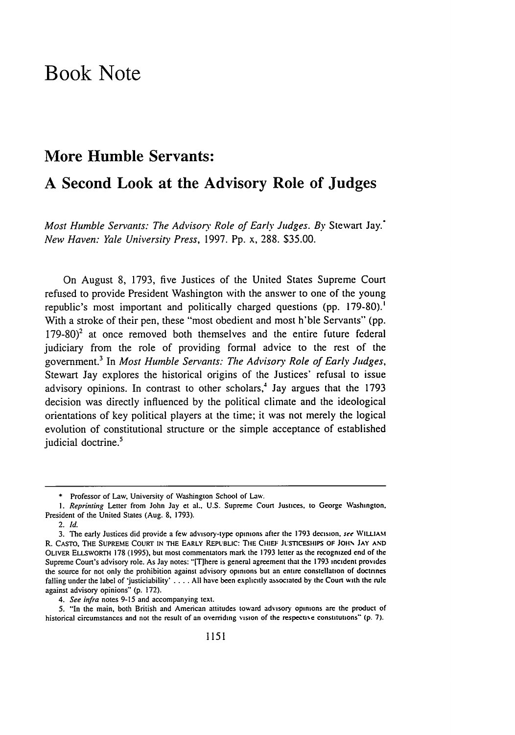## Book Note

## More Humble Servants:

## **A** Second Look at the Advisory Role of Judges

Most Humble Servants: The Advisory Role of Early Judges. By Stewart Jay.<sup>+</sup> *New Haven: Yale University Press,* 1997. Pp. x, 288. \$35.00.

On August 8, 1793, five Justices of the United States Supreme Court refused to provide President Washington with the answer to one of the young republic's most important and politically charged questions (pp. 179-80).' With a stroke of their pen, these "most obedient and most h'ble Servants" (pp.  $179-80$ <sup>2</sup> at once removed both themselves and the entire future federal judiciary from the role of providing formal advice to the rest of the government.<sup>3</sup> In *Most Humble Servants: The Advisory Role of Early Judges*, Stewart Jay explores the historical origins of the Justices' refusal to issue advisory opinions. In contrast to other scholars,<sup>4</sup> Jay argues that the 1793 decision was directly influenced by the political climate and the ideological orientations of key political players at the time; it was not merely the logical evolution of constitutional structure or the simple acceptance of established judicial doctrine.<sup>5</sup>

*4. See infra* notes 9-15 and accompanying text.

5. "In the main, both British and American attitudes toward advisory opinions art the product of historical circumstances and not the result of an overriding vision of the respectice constitutions" **(p. 7).**

**<sup>\*</sup>** Professor of Law, University of Washington School of Law.

*<sup>1.</sup> Reprinting* Letter from John Jay et al.. U.S. Supreme Court Justices. to George Washington. President of the United States (Aug. 8, 1793).

<sup>2.</sup> *Id.*

<sup>3.</sup> The early Justices did provide a few advisory-type opinions after the 1793 decision. *see* WILLIAM R. CASTO, THE SUPREME Coutr IN THE EARLY REPUBLIC: **TiE** CHIEF **JUSTICESHIPS OF JOIt\ JAY AND** OLIvER ELLSWORTH 178 **(1995),** but most commentators mark the **1793** letter as the recognized end of the Supreme Court's advisory role. As Jay notes: 'IT]here is general agreement that the 1793 incident provides the source for not only the prohibition against advisory opinions but an entire constellation of doctnnes falling under the label of 'justiciability' .... All have been explicitly associated by the Court with the rule against advisory opinions" (p. 172).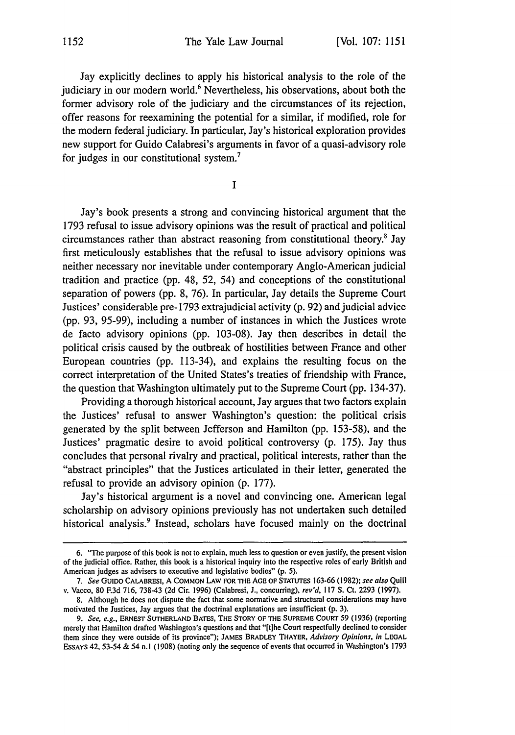Jay explicitly declines to apply his historical analysis to the role of the judiciary in our modern world.<sup>6</sup> Nevertheless, his observations, about both the former advisory role of the judiciary and the circumstances of its rejection, offer reasons for reexamining the potential for a similar, if modified, role for the modem federal judiciary. In particular, Jay's historical exploration provides new support for Guido Calabresi's arguments in favor of a quasi-advisory role for judges in our constitutional system.7

**I**

Jay's book presents a strong and convincing historical argument that the 1793 refusal to issue advisory opinions was the result of practical and political circumstances rather than abstract reasoning from constitutional theory.' Jay first meticulously establishes that the refusal to issue advisory opinions was neither necessary nor inevitable under contemporary Anglo-American judicial tradition and practice (pp. 48, 52, 54) and conceptions of the constitutional separation of powers (pp. 8, 76). In particular, Jay details the Supreme Court Justices' considerable pre-1793 extrajudicial activity (p. 92) and judicial advice (pp. 93, 95-99), including a number of instances in which the Justices wrote de facto advisory opinions (pp. 103-08). Jay then describes in detail the political crisis caused by the outbreak of hostilities between France and other European countries (pp. 113-34), and explains the resulting focus on the correct interpretation of the United States's treaties of friendship with France, the question that Washington ultimately put to the Supreme Court (pp. 134-37).

Providing a thorough historical account, Jay argues that two factors explain the Justices' refusal to answer Washington's question: the political crisis generated by the split between Jefferson and Hamilton (pp. 153-58), and the Justices' pragmatic desire to avoid political controversy (p. 175). Jay thus concludes that personal rivalry and practical, political interests, rather than the "abstract principles" that the Justices articulated in their letter, generated the refusal to provide an advisory opinion (p. 177).

Jay's historical argument is a novel and convincing one. American legal scholarship on advisory opinions previously has not undertaken such detailed historical analysis.<sup>9</sup> Instead, scholars have focused mainly on the doctrinal

<sup>6. &</sup>quot;The purpose of this book is not to explain, much less to question or even justify, the present vision of the judicial office. Rather, this book is a historical inquiry into the respective roles of early British and American judges as advisers to executive and legislative bodies" (p. 5).

*<sup>7.</sup>* See **GUIDO** CALABRESI, A COMMON LAW FOR THE AGE OF STATUTES 163-66 (1982); *see also* Quill v. Vacco, 80 **F.3d** 716, 738-43 (2d Cir. 1996) (Calabresi, **J.,** concurring), rev'd, 117 **S.** Ct. 2293 (1997).

<sup>8.</sup> Although he does not dispute the fact that some normative and structural considerations may have motivated the Justices, Jay argues that the doctrinal explanations are insufficient (p. 3).

*<sup>9.</sup>* See, *e.g.,* ERNEST **SUTHERLAND** BATES, **THE** STORY **OF THE SUPREME** COURT 59 (1936) (reporting merely that Hamilton drafted Washington's questions and that "[ihe Court respectfully declined to consider them since they were outside of its province"); JAMES BRADLEY THAYER, *Advisory Opinions, in* **LEGAL** ESSAYS 42, 53-54 & 54 n.l (1908) (noting only the sequence of events that occurred in Washington's 1793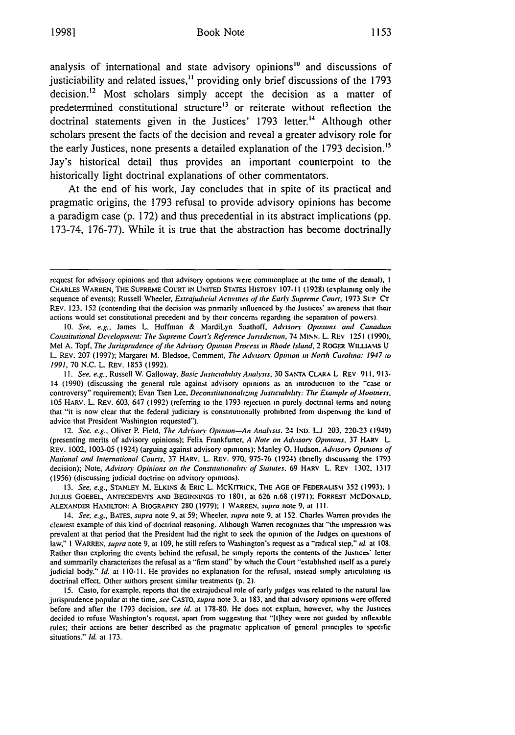analysis of international and state advisory opinions<sup>10</sup> and discussions of justiciability and related issues,<sup>11</sup> providing only brief discussions of the 1793 decision.<sup>12</sup> Most scholars simply accept the decision as a matter of predetermined constitutional structure<sup>13</sup> or reiterate without reflection the doctrinal statements given in the Justices' **1793** letter.'4 Although other scholars present the facts of the decision and reveal a greater advisory role for the early Justices, none presents a detailed explanation of the **1793** decision.'\$ Jay's historical detail thus provides an important counterpoint to the historically light doctrinal explanations of other commentators.

At the end of his work, Jay concludes that in spite of its practical and pragmatic origins, the **1793** refusal to provide advisory opinions has become a paradigm case **(p. 172)** and thus precedential in its abstract implications **(pp. 173-74, 176-77).** While it is true that the abstraction has become doctrinally

*12.* See, e.g., Oliver P. Field, *The* Advisors Opinion-An Analysis. 24 **1ND.** *U ..* 203. 220-23 (1949) (presenting merits of advisory opinions); Felix Frankfurter, *A Note on Advisory Opinions*, 37 HARV L. REV. 1002, 1003-05 (1924) (arguing against advisory opinions); Manley **0.** Hudson. Advisory Opinions of National and International Courts, 37 HARV. L. REv. 970. 975-76 (1924) (briefly discussing the 1793 decision); Note, Advisory Opinions on the Constitutionality of Statutes, 69 HARV L. REV 1302, 1317 (1956) (discussing judicial doctrine on advisory opinions).

13. See, e.g., STANLEY M. ELKINS & ERIC L. MCKITRICK, THE AGE OF FEDERALISM 352 (1993); 1 JULIUS GOEBEL, ANTECEDENTS **AND BEGINNINGS** TO **1801.** at 626 n.68 (1971); FORREST **MCDONALD.** ALEXANDER **HAMILTON:** A BIOGRAPHY 280 (1979); I WARREN. supra note **9.** at Ill.

14. See, e.g., BATES, supra note **9,** at 59; Wheeler. supra note 9. at **152.** Charles Warren provides the clearest example of this kind of doctrinal reasoning. Although Warren recognizes that "the impression was prevalent at that period that the President had the right to seek the opinion of the Judges on questions of law," I WARREN, supra note **9,** at 109, he still refers to Washington's request as a "radical step." *id* at 108. Rather than exploring the events behind the refusal, he simply reports the contents of the Justices' letter and summarily characterizes the refusal as a "firm stand" by which the Court "established itself as a purely judicial body." Id. at 110-11. He provides no explanation for the refusal, instead simply articulating its doctrinal effect. Other authors present similar treatments (p. 2).

**15.** Casto, for example, reports that the extrajudicial role of early judges was related to the natural law jurisprudence popular at the time, see CASTO, supra note 3, at 183, and that advisory opinions were offered before and after the 1793 decision, see id. at 178-80. He does not explain, however. why the Justices decided to refuse Washington's request, apart from suggesting that "'[tlhey were not guided by inflexible rules; their actions are better described as the pragmatic application of general principles to specific situations." Id. at 173.

request for advisory opinions and that advisory opinions were commonplace at the time of the denial). **I** CHARLES **WARREN, THE SUPREME COURT IN UNITED STATES HISTORY 107-I t(1928)** (explaining only the sequence of events); Russell Wheeler, *Ertrajudicial* Activities of the Early *Supreme* Court. 1973 **SUP** CT REV. 123, 152 (contending that the decision was primarily influenced by the Justices' awareness that their actions would set constitutional precedent and by their concerns regarding the separation of powers).

<sup>10.</sup> See, e.g., James L. Huffman & MardiLyn Saathoff. Advisory Opinions and Canadian Constitutional Development: The Supreme Court's Reference Jurisdiction, 74 MINN. L. REV 1251 (1990), Mel A. Topf, The Jurisprudence of the Advisory Opinion Process in Rhode Island, 2 ROGER WILLIAMS U L. REv. 207 (1997); Margaret M. Bledsoe, Comment. *The* Advisory **Opinion** in North Carolina: 1947 to 1991, 70 N.C. L. REV. 1853 (1992).

<sup>11.</sup> See, e.g., Russell W. Galloway, Basic Justiciability Analysis, 30 SANTA CLARA L REV 911, 913-14 (1990) (discussing the general rule against advisory opinions as an introduction to the "'case or controversy" requirement); Evan Tsen Lee, **Deconstitutionahzing Justictabdir.:** *The* Etample *of* **3ootness.** 105 HARV. L. REV. 603, 647 (1992) (referring to the 1793 rejection in purely doctrinal **terms** and noting that "it is now clear that the federal judiciary is constitutionally prohibited from dispensing the kind of advice that President Washington requested").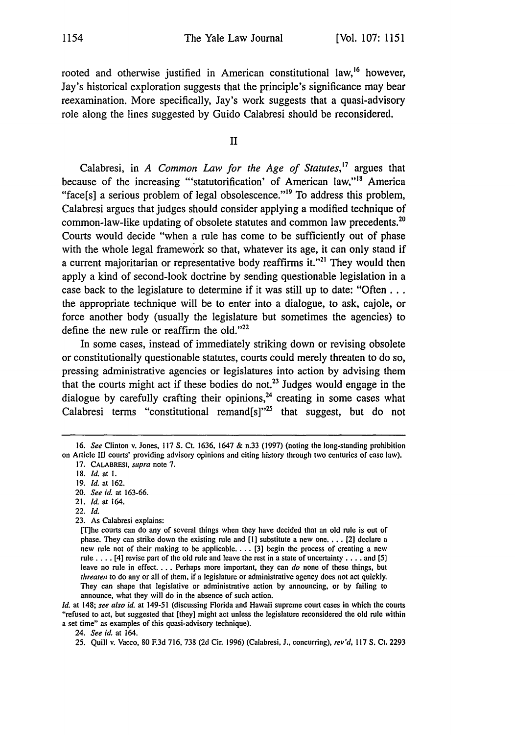rooted and otherwise justified in American constitutional law,<sup>16</sup> however, Jay's historical exploration suggests that the principle's significance may bear reexamination. More specifically, Jay's work suggests that a quasi-advisory role along the lines suggested by Guido Calabresi should be reconsidered.

## II

Calabresi, in *A Common Law for the Age of Statutes,17* argues that because of the increasing "'statutorification' of American law,"<sup>18</sup> America "face[s] a serious problem of legal obsolescence."<sup>19</sup> To address this problem, Calabresi argues that judges should consider applying a modified technique of common-law-like updating of obsolete statutes and common law precedents.<sup>20</sup> Courts would decide "when a rule has come to be sufficiently out of phase with the whole legal framework so that, whatever its age, it can only stand if a current majoritarian or representative body reaffirms it."<sup>21</sup> They would then apply a kind of second-look doctrine by sending questionable legislation in a case back to the legislature to determine if it was still up to date: "Often... the appropriate technique will be to enter into a dialogue, to ask, cajole, or force another body (usually the legislature but sometimes the agencies) to define the new rule or reaffirm the old." $22$ 

In some cases, instead of immediately striking down or revising obsolete or constitutionally questionable statutes, courts could merely threaten to do so, pressing administrative agencies or legislatures into action by advising them that the courts might act if these bodies do not.<sup>23</sup> Judges would engage in the dialogue by carefully crafting their opinions, $24$  creating in some cases what Calabresi terms "constitutional remand $[s]$ "<sup>25</sup> that suggest, but do not

- 20. *See id.* at 163-66.
- 21. *Id.* at 164.
- 22. *Id.*
- 23. As Calabresi explains:

*Id.* at 148; *see also id.* at 149-51 (discussing Florida and Hawaii supreme court cases in which the courts "refused to act, but suggested that [they] might act unless the legislature reconsidered the old rule within a set time" as examples of this quasi-advisory technique).

<sup>16.</sup> *See* Clinton v. Jones, 117 **S.** Ct. 1636, 1647 & n.33 (1997) (noting the long-standing prohibition on Article III courts' providing advisory opinions and citing history through two centuries of case law).

<sup>17.</sup> CALABRESI, *supra* note 7.

<sup>18.</sup> *Id.* at I.

<sup>19.</sup> *Id.* at 162.

<sup>[</sup>T] he courts can do any of several things when they have decided that an old rule is out of phase. They can strike down the existing rule and **[1]** substitute a new one **....** [2) declare a new rule not of their making to be applicable.... [3] begin the process of creating a new rule .... [4] revise part of the old rule and leave the rest in a state of uncertainty .... and [5] leave no rule in effect.... Perhaps more important, they can *do* none of these things, but *threaten* to do any or all of them, if a legislature or administrative agency does not act quickly. They can shape that legislative or administrative action by announcing, or by failing to announce, what they will do in the absence of such action.

<sup>24.</sup> *See id.* at 164.

<sup>25.</sup> Quill v. Vacco, 80 **F.3d** 716, 738 (2d Cir. 1996) (Calabresi, J., concurring), *rev'd,* 117 **S.** Ct. 2293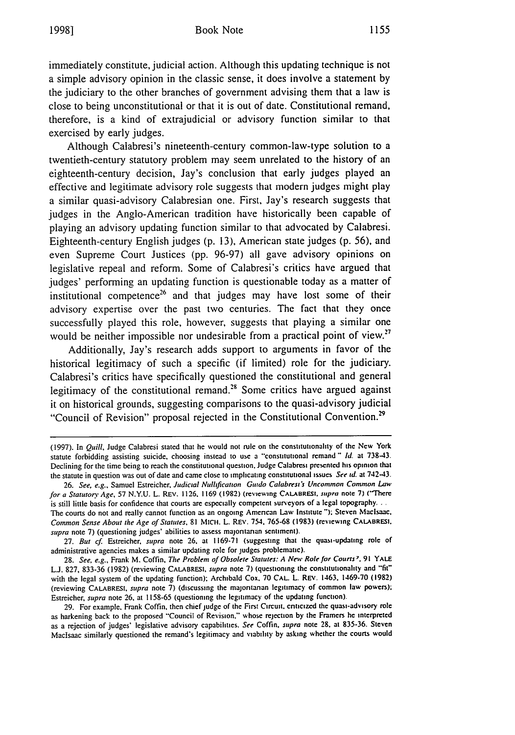immediately constitute, judicial action. Although this updating technique is not a simple advisory opinion in the classic sense, it does involve a statement by the judiciary to the other branches of government advising them that a law is close to being unconstitutional or that it is out of date. Constitutional remand, therefore, is a kind of extrajudicial or advisory function similar to that exercised by early judges.

Although Calabresi's nineteenth-century common-law-type solution to a twentieth-century statutory problem may seem unrelated to the history of an eighteenth-century decision, Jay's conclusion that early judges played an effective and legitimate advisory role suggests that modern judges might play a similar quasi-advisory Calabresian one. First, Jay's research suggests that judges in the Anglo-American tradition have historically been capable of playing an advisory updating function similar to that advocated by Calabresi. Eighteenth-century English judges (p. 13), American state judges (p. 56), and even Supreme Court Justices (pp. 96-97) all gave advisory opinions on legislative repeal and reform. Some of Calabresi's critics have argued that judges' performing an updating function is questionable today as a matter of institutional competence<sup>26</sup> and that judges may have lost some of their advisory expertise over the past two centuries. The fact that they once successfully played this role, however, suggests that playing a similar one would be neither impossible nor undesirable from a practical point of view.<sup>27</sup>

Additionally, Jay's research adds support to arguments in favor of the historical legitimacy of such a specific (if limited) role for the judiciary. Calabresi's critics have specifically questioned the constitutional and general legitimacy of the constitutional remand.<sup>28</sup> Some critics have argued against it on historical grounds, suggesting comparisons to the quasi-advisory judicial "Council of Revision" proposal rejected in the Constitutional Convention.<sup>29</sup>

27. But cf. Estreicher, supra note 26, at 1169-71 (suggesting that the quasi-updating role of administrative agencies makes a similar updating role for judges problematic).

28. See, e.g., Frank M. Coffin, The Problem of Obsolete Statutes: *A* New Role **for** Courts7. 91 **YALE** L.J. 827, 833-36 (1982) (reviewing CALABRESI, supra note 7) (questioning the constitutionality and "fit" with the legal system of the updating function); Archibald Cox, 70 CAL L. REV. 1463. 1469-70 (1982) (reviewing CALABRESI, *supra* note 7) (discussing the majontanan legitimacy of common law powers); Estreicher, *supra* note **26.** at 1158-65 (questioning the legitimacy of the updating function).

29. For example, Frank Coffin, then chief judge of the First Circuit. criticized the quasi-advisory role as harkening back to the proposed "Council of Revision." whose rejection by the Framers he interpreted as a rejection of judges' legislative advisory capabilities. *See* Coffin. *supra* note 28. at 835-36. Steven Maclsaac similarly questioned the remand's legitimacy and viability by asking whether the courts would

<sup>(1997).</sup> In Quill, Judge Calabresi stated that he would not rule on the **constitutionality of** the New York statute forbidding assisting suicide, choosing instead to use a "constitutional remand " **Id.** at 738-43. Declining for the time being to reach the constitutional question. Judge Calabresi presented his opinion that the statute in question was out of date and came close to implicating constitutional issues See *id.* at 742-43.

<sup>26.</sup> See, e.g., Samuel Estreicher, Judicial Nullification Guido Calabresi's Uncommon Common Law for a Statutory Age, 57 N.Y.U. L. REV. 1126. 1169 (1982) (reviewing **CALABRESI.** supra note **7)** ("There is still little basis for confidence that courts are especially competent surveyors of a legal topography... The courts do not and really cannot function as an ongoing American Law Institute **');** Steven Maclsaac. Common Sense About the Age of Statutes. **81 MICtI.** L. REV. 754. 765-68 **(1983)** (reviewing CALARBRESI. supra note 7) (questioning judges' abilities to assess majoritanan sentiment).